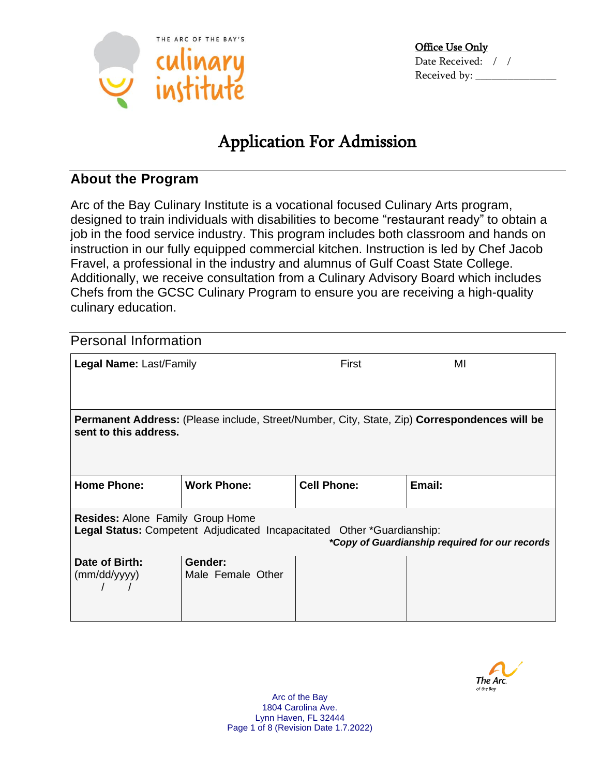

# Application For Admission

## **About the Program**

Arc of the Bay Culinary Institute is a vocational focused Culinary Arts program, designed to train individuals with disabilities to become "restaurant ready" to obtain a job in the food service industry. This program includes both classroom and hands on instruction in our fully equipped commercial kitchen. Instruction is led by Chef Jacob Fravel, a professional in the industry and alumnus of Gulf Coast State College. Additionally, we receive consultation from a Culinary Advisory Board which includes Chefs from the GCSC Culinary Program to ensure you are receiving a high-quality culinary education.

| <b>Personal Information</b>                                                                                                                                         |                              |                    |        |
|---------------------------------------------------------------------------------------------------------------------------------------------------------------------|------------------------------|--------------------|--------|
| Legal Name: Last/Family                                                                                                                                             |                              | First              | MI     |
|                                                                                                                                                                     |                              |                    |        |
| <b>Permanent Address:</b> (Please include, Street/Number, City, State, Zip) <b>Correspondences will be</b><br>sent to this address.                                 |                              |                    |        |
|                                                                                                                                                                     |                              |                    |        |
| <b>Home Phone:</b>                                                                                                                                                  | <b>Work Phone:</b>           | <b>Cell Phone:</b> | Email: |
| <b>Resides: Alone Family Group Home</b><br>Legal Status: Competent Adjudicated Incapacitated Other *Guardianship:<br>*Copy of Guardianship required for our records |                              |                    |        |
| Date of Birth:<br>(mm/dd/yyyy)                                                                                                                                      | Gender:<br>Male Female Other |                    |        |

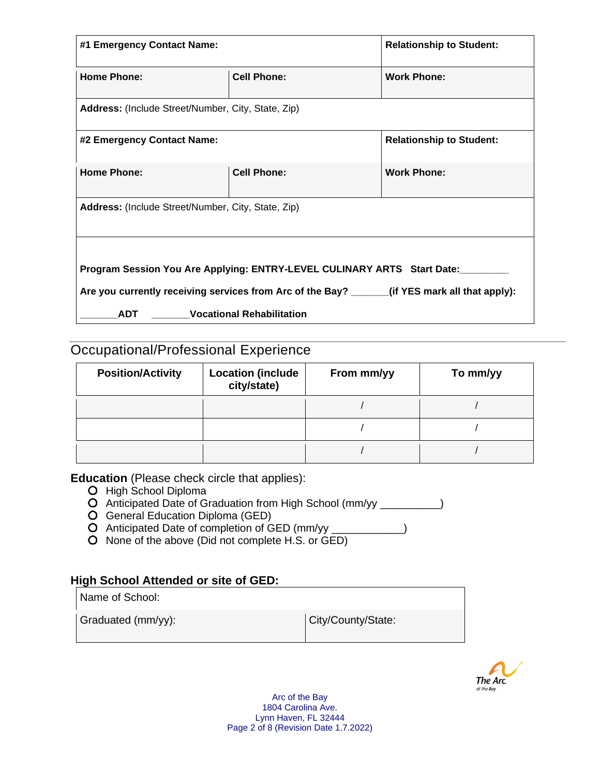| #1 Emergency Contact Name:                                                                    |                    | <b>Relationship to Student:</b> |  |
|-----------------------------------------------------------------------------------------------|--------------------|---------------------------------|--|
| <b>Home Phone:</b>                                                                            | <b>Cell Phone:</b> | <b>Work Phone:</b>              |  |
| Address: (Include Street/Number, City, State, Zip)                                            |                    |                                 |  |
| #2 Emergency Contact Name:                                                                    |                    | <b>Relationship to Student:</b> |  |
| <b>Home Phone:</b>                                                                            | <b>Cell Phone:</b> | <b>Work Phone:</b>              |  |
| Address: (Include Street/Number, City, State, Zip)                                            |                    |                                 |  |
|                                                                                               |                    |                                 |  |
| Program Session You Are Applying: ENTRY-LEVEL CULINARY ARTS Start Date:                       |                    |                                 |  |
| Are you currently receiving services from Arc of the Bay? ______(if YES mark all that apply): |                    |                                 |  |
| <b>Vocational Rehabilitation</b><br><b>ADT</b>                                                |                    |                                 |  |

## Occupational/Professional Experience

| <b>Position/Activity</b> | <b>Location (include</b><br>city/state) | From mm/yy | To mm/yy |
|--------------------------|-----------------------------------------|------------|----------|
|                          |                                         |            |          |
|                          |                                         |            |          |
|                          |                                         |            |          |

**Education** (Please check circle that applies):

- O High School Diploma
- O Anticipated Date of Graduation from High School (mm/yy \_\_\_\_\_\_\_\_\_)
- General Education Diploma (GED)
- Anticipated Date of completion of GED (mm/yy \_\_\_\_\_\_\_\_\_\_\_\_)
- O None of the above (Did not complete H.S. or  $\overline{GED}$ )

## **High School Attended or site of GED:**

Name of School:

Graduated (mm/yy): City/County/State:

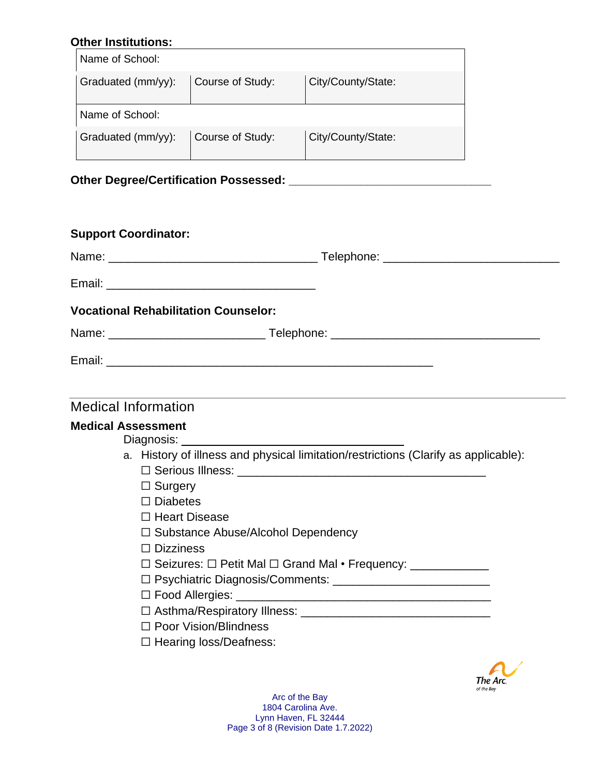## **Other Institutions:**

| Name of School:    |                  |                    |
|--------------------|------------------|--------------------|
| Graduated (mm/yy): | Course of Study: | City/County/State: |
| Name of School:    |                  |                    |
| Graduated (mm/yy): | Course of Study: | City/County/State: |

## **Other Degree/Certification Possessed: \_\_\_\_\_\_\_\_\_\_\_\_\_\_\_\_\_\_\_\_\_\_\_\_\_\_\_\_\_\_\_**

|                            | <b>Support Coordinator:</b>                 |                                                                                     |
|----------------------------|---------------------------------------------|-------------------------------------------------------------------------------------|
|                            |                                             |                                                                                     |
|                            |                                             |                                                                                     |
|                            | <b>Vocational Rehabilitation Counselor:</b> |                                                                                     |
|                            |                                             |                                                                                     |
|                            |                                             |                                                                                     |
|                            |                                             |                                                                                     |
| <b>Medical Information</b> |                                             |                                                                                     |
| <b>Medical Assessment</b>  | $\Box$ Surgery<br>$\Box$ Diabetes           | a. History of illness and physical limitation/restrictions (Clarify as applicable): |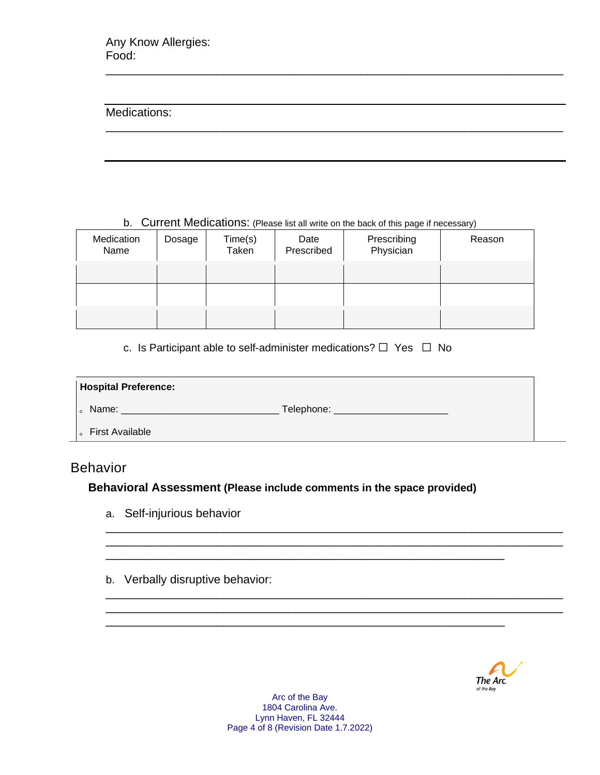#### Medications:

b. Current Medications: (Please list all write on the back of this page if necessary)

\_\_\_\_\_\_\_\_\_\_\_\_\_\_\_\_\_\_\_\_\_\_\_\_\_\_\_\_\_\_\_\_\_\_\_\_\_\_\_\_\_\_\_\_\_\_\_\_\_\_\_\_\_\_\_\_\_\_\_\_\_\_\_\_\_\_\_\_\_\_

\_\_\_\_\_\_\_\_\_\_\_\_\_\_\_\_\_\_\_\_\_\_\_\_\_\_\_\_\_\_\_\_\_\_\_\_\_\_\_\_\_\_\_\_\_\_\_\_\_\_\_\_\_\_\_\_\_\_\_\_\_\_\_\_\_\_\_\_\_\_

| Medication<br>Name | Dosage | Time(s)<br>Taken | Date<br>Prescribed | Prescribing<br>Physician | Reason |
|--------------------|--------|------------------|--------------------|--------------------------|--------|
|                    |        |                  |                    |                          |        |
|                    |        |                  |                    |                          |        |
|                    |        |                  |                    |                          |        |

c. Is Participant able to self-administer medications?  $\Box$  Yes  $\Box$  No

| <b>Hospital Preference:</b> |  |
|-----------------------------|--|
| Telephone: _<br>Name:       |  |
| <b>First Available</b>      |  |

\_\_\_\_\_\_\_\_\_\_\_\_\_\_\_\_\_\_\_\_\_\_\_\_\_\_\_\_\_\_\_\_\_\_\_\_\_\_\_\_\_\_\_\_\_\_\_\_\_\_\_\_\_\_\_\_\_\_\_\_\_\_\_\_\_\_\_\_\_\_ \_\_\_\_\_\_\_\_\_\_\_\_\_\_\_\_\_\_\_\_\_\_\_\_\_\_\_\_\_\_\_\_\_\_\_\_\_\_\_\_\_\_\_\_\_\_\_\_\_\_\_\_\_\_\_\_\_\_\_\_\_\_\_\_\_\_\_\_\_\_

\_\_\_\_\_\_\_\_\_\_\_\_\_\_\_\_\_\_\_\_\_\_\_\_\_\_\_\_\_\_\_\_\_\_\_\_\_\_\_\_\_\_\_\_\_\_\_\_\_\_\_\_\_\_\_\_\_\_\_\_\_\_\_\_\_\_\_\_\_\_ \_\_\_\_\_\_\_\_\_\_\_\_\_\_\_\_\_\_\_\_\_\_\_\_\_\_\_\_\_\_\_\_\_\_\_\_\_\_\_\_\_\_\_\_\_\_\_\_\_\_\_\_\_\_\_\_\_\_\_\_\_\_\_\_\_\_\_\_\_\_

\_\_\_\_\_\_\_\_\_\_\_\_\_\_\_\_\_\_\_\_\_\_\_\_\_\_\_\_\_\_\_\_\_\_\_\_\_\_\_\_\_\_\_\_\_\_\_\_\_\_\_\_\_\_\_\_\_\_\_\_\_

\_\_\_\_\_\_\_\_\_\_\_\_\_\_\_\_\_\_\_\_\_\_\_\_\_\_\_\_\_\_\_\_\_\_\_\_\_\_\_\_\_\_\_\_\_\_\_\_\_\_\_\_\_\_\_\_\_\_\_\_\_

## Behavior

## **Behavioral Assessment (Please include comments in the space provided)**

- a. Self-injurious behavior
- b. Verbally disruptive behavior:



Arc of the Bay 1804 Carolina Ave. Lynn Haven, FL 32444 Page 4 of 8 (Revision Date 1.7.2022)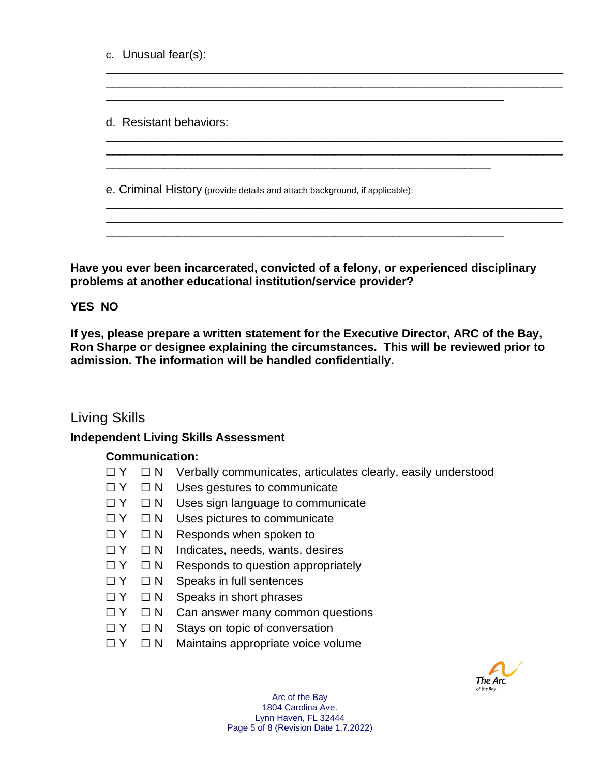c. Unusual fear(s):

d. Resistant behaviors:

e. Criminal History (provide details and attach background, if applicable):

**Have you ever been incarcerated, convicted of a felony, or experienced disciplinary problems at another educational institution/service provider?**

\_\_\_\_\_\_\_\_\_\_\_\_\_\_\_\_\_\_\_\_\_\_\_\_\_\_\_\_\_\_\_\_\_\_\_\_\_\_\_\_\_\_\_\_\_\_\_\_\_\_\_\_\_\_\_\_\_\_\_\_\_

\_\_\_\_\_\_\_\_\_\_\_\_\_\_\_\_\_\_\_\_\_\_\_\_\_\_\_\_\_\_\_\_\_\_\_\_\_\_\_\_\_\_\_\_\_\_\_\_\_\_\_\_\_\_\_\_\_\_\_\_\_\_\_\_\_\_\_\_\_\_ \_\_\_\_\_\_\_\_\_\_\_\_\_\_\_\_\_\_\_\_\_\_\_\_\_\_\_\_\_\_\_\_\_\_\_\_\_\_\_\_\_\_\_\_\_\_\_\_\_\_\_\_\_\_\_\_\_\_\_\_\_\_\_\_\_\_\_\_\_\_

\_\_\_\_\_\_\_\_\_\_\_\_\_\_\_\_\_\_\_\_\_\_\_\_\_\_\_\_\_\_\_\_\_\_\_\_\_\_\_\_\_\_\_\_\_\_\_\_\_\_\_\_\_\_\_\_\_\_\_\_\_\_\_\_\_\_\_\_\_\_ \_\_\_\_\_\_\_\_\_\_\_\_\_\_\_\_\_\_\_\_\_\_\_\_\_\_\_\_\_\_\_\_\_\_\_\_\_\_\_\_\_\_\_\_\_\_\_\_\_\_\_\_\_\_\_\_\_\_\_\_\_\_\_\_\_\_\_\_\_\_

\_\_\_\_\_\_\_\_\_\_\_\_\_\_\_\_\_\_\_\_\_\_\_\_\_\_\_\_\_\_\_\_\_\_\_\_\_\_\_\_\_\_\_\_\_\_\_\_\_\_\_\_\_\_\_\_\_\_\_\_\_\_\_\_\_\_\_\_\_\_ \_\_\_\_\_\_\_\_\_\_\_\_\_\_\_\_\_\_\_\_\_\_\_\_\_\_\_\_\_\_\_\_\_\_\_\_\_\_\_\_\_\_\_\_\_\_\_\_\_\_\_\_\_\_\_\_\_\_\_\_\_\_\_\_\_\_\_\_\_\_

\_\_\_\_\_\_\_\_\_\_\_\_\_\_\_\_\_\_\_\_\_\_\_\_\_\_\_\_\_\_\_\_\_\_\_\_\_\_\_\_\_\_\_\_\_\_\_\_\_\_\_\_\_\_\_\_\_\_\_\_\_

\_\_\_\_\_\_\_\_\_\_\_\_\_\_\_\_\_\_\_\_\_\_\_\_\_\_\_\_\_\_\_\_\_\_\_\_\_\_\_\_\_\_\_\_\_\_\_\_\_\_\_\_\_\_\_\_\_\_\_

### **YES NO**

**If yes, please prepare a written statement for the Executive Director, ARC of the Bay, Ron Sharpe or designee explaining the circumstances. This will be reviewed prior to admission. The information will be handled confidentially.**

## Living Skills

#### **Independent Living Skills Assessment**

#### **Communication:**

- $\Box Y$   $\Box N$  Verbally communicates, articulates clearly, easily understood
- ☐ Y ☐ N Uses gestures to communicate
- ☐ Y ☐ N Uses sign language to communicate
- ☐ Y ☐ N Uses pictures to communicate
- $\Box Y$   $\Box N$  Responds when spoken to
- ☐ Y ☐ N Indicates, needs, wants, desires
- ☐ Y ☐ N Responds to question appropriately
- ☐ Y ☐ N Speaks in full sentences
- ☐ Y ☐ N Speaks in short phrases
- □ Y □ N Can answer many common questions
- ☐ Y ☐ N Stays on topic of conversation
- □ Y □ N Maintains appropriate voice volume



Arc of the Bay 1804 Carolina Ave. Lynn Haven, FL 32444 Page 5 of 8 (Revision Date 1.7.2022)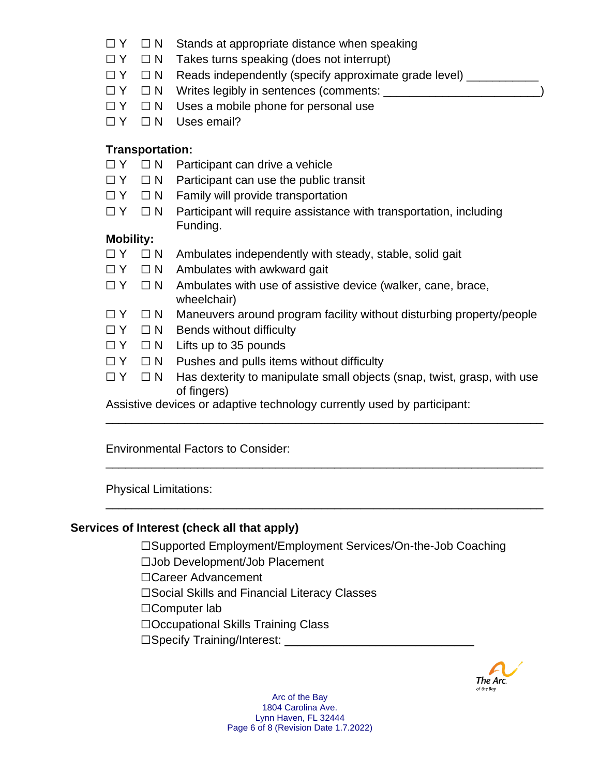- ☐ Y ☐ N Stands at appropriate distance when speaking
- $\Box Y$   $\Box N$  Takes turns speaking (does not interrupt)
- □ Y □ N Reads independently (specify approximate grade level) \_\_\_\_\_\_\_\_\_
- □ Y □ N Writes legibly in sentences (comments: \_\_\_\_\_\_\_\_\_\_\_\_\_\_\_
- ☐ Y ☐ N Uses a mobile phone for personal use
- □ Y □ N Uses email?

## **Transportation:**

- □ Y □ N Participant can drive a vehicle
- ☐ Y ☐ N Participant can use the public transit
- □ Y □ N Family will provide transportation
- $\Box Y$   $\Box N$  Participant will require assistance with transportation, including Funding.

## **Mobility:**

- $\Box Y$   $\Box N$  Ambulates independently with steady, stable, solid gait
- $\Box Y$   $\Box N$  Ambulates with awkward gait
- $\Box Y$   $\Box N$  Ambulates with use of assistive device (walker, cane, brace, wheelchair)
- □ Y □ N Maneuvers around program facility without disturbing property/people
- ☐ Y ☐ N Bends without difficulty
- ☐ Y ☐ N Lifts up to 35 pounds
- $\Box Y$   $\Box N$  Pushes and pulls items without difficulty
- □ Y □ N Has dexterity to manipulate small objects (snap, twist, grasp, with use of fingers)

\_\_\_\_\_\_\_\_\_\_\_\_\_\_\_\_\_\_\_\_\_\_\_\_\_\_\_\_\_\_\_\_\_\_\_\_\_\_\_\_\_\_\_\_\_\_\_\_\_\_\_\_\_\_\_\_\_\_\_\_\_\_\_\_\_\_\_

\_\_\_\_\_\_\_\_\_\_\_\_\_\_\_\_\_\_\_\_\_\_\_\_\_\_\_\_\_\_\_\_\_\_\_\_\_\_\_\_\_\_\_\_\_\_\_\_\_\_\_\_\_\_\_\_\_\_\_\_\_\_\_\_\_\_\_

\_\_\_\_\_\_\_\_\_\_\_\_\_\_\_\_\_\_\_\_\_\_\_\_\_\_\_\_\_\_\_\_\_\_\_\_\_\_\_\_\_\_\_\_\_\_\_\_\_\_\_\_\_\_\_\_\_\_\_\_\_\_\_\_\_\_\_

Assistive devices or adaptive technology currently used by participant:

Environmental Factors to Consider:

Physical Limitations:

## **Services of Interest (check all that apply)**

☐Supported Employment/Employment Services/On-the-Job Coaching ☐Job Development/Job Placement ☐Career Advancement ☐Social Skills and Financial Literacy Classes ☐Computer lab ☐Occupational Skills Training Class ☐Specify Training/Interest: \_\_\_\_\_\_\_\_\_\_\_\_\_\_\_\_\_\_\_\_\_\_\_\_\_\_\_\_\_

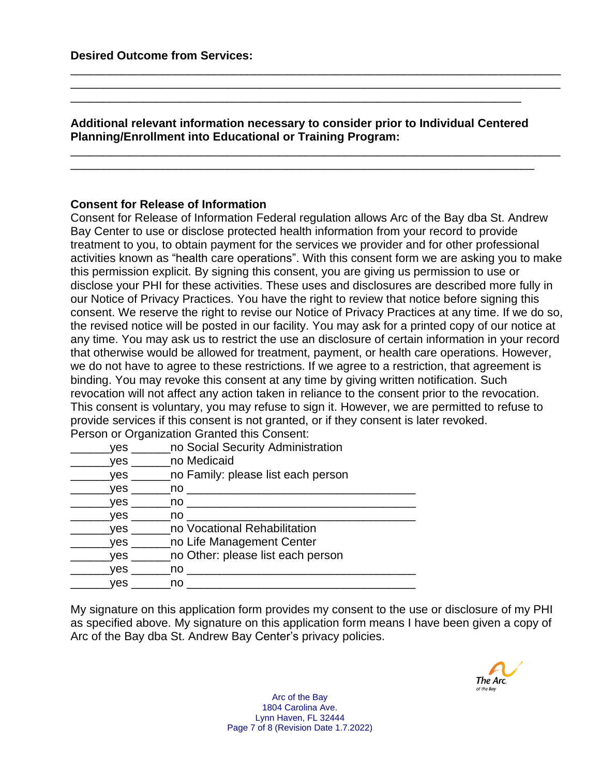**Additional relevant information necessary to consider prior to Individual Centered Planning/Enrollment into Educational or Training Program:**

\_\_\_\_\_\_\_\_\_\_\_\_\_\_\_\_\_\_\_\_\_\_\_\_\_\_\_\_\_\_\_\_\_\_\_\_\_\_\_\_\_\_\_\_\_\_\_\_\_\_\_\_\_\_\_\_\_\_\_\_\_\_\_\_\_\_\_\_\_

\_\_\_\_\_\_\_\_\_\_\_\_\_\_\_\_\_\_\_\_\_\_\_\_\_\_\_\_\_\_\_\_\_\_\_\_\_\_\_\_\_\_\_\_\_\_\_\_\_\_\_\_\_\_\_\_\_\_\_\_\_\_\_\_\_\_\_\_\_\_\_\_\_\_\_ \_\_\_\_\_\_\_\_\_\_\_\_\_\_\_\_\_\_\_\_\_\_\_\_\_\_\_\_\_\_\_\_\_\_\_\_\_\_\_\_\_\_\_\_\_\_\_\_\_\_\_\_\_\_\_\_\_\_\_\_\_\_\_\_\_\_\_\_\_\_\_\_\_\_\_

\_\_\_\_\_\_\_\_\_\_\_\_\_\_\_\_\_\_\_\_\_\_\_\_\_\_\_\_\_\_\_\_\_\_\_\_\_\_\_\_\_\_\_\_\_\_\_\_\_\_\_\_\_\_\_\_\_\_\_\_\_\_\_\_\_\_\_\_\_\_\_\_\_\_\_ \_\_\_\_\_\_\_\_\_\_\_\_\_\_\_\_\_\_\_\_\_\_\_\_\_\_\_\_\_\_\_\_\_\_\_\_\_\_\_\_\_\_\_\_\_\_\_\_\_\_\_\_\_\_\_\_\_\_\_\_\_\_\_\_\_\_\_\_\_\_\_

#### **Consent for Release of Information**

Consent for Release of Information Federal regulation allows Arc of the Bay dba St. Andrew Bay Center to use or disclose protected health information from your record to provide treatment to you, to obtain payment for the services we provider and for other professional activities known as "health care operations". With this consent form we are asking you to make this permission explicit. By signing this consent, you are giving us permission to use or disclose your PHI for these activities. These uses and disclosures are described more fully in our Notice of Privacy Practices. You have the right to review that notice before signing this consent. We reserve the right to revise our Notice of Privacy Practices at any time. If we do so, the revised notice will be posted in our facility. You may ask for a printed copy of our notice at any time. You may ask us to restrict the use an disclosure of certain information in your record that otherwise would be allowed for treatment, payment, or health care operations. However, we do not have to agree to these restrictions. If we agree to a restriction, that agreement is binding. You may revoke this consent at any time by giving written notification. Such revocation will not affect any action taken in reliance to the consent prior to the revocation. This consent is voluntary, you may refuse to sign it. However, we are permitted to refuse to provide services if this consent is not granted, or if they consent is later revoked. Person or Organization Granted this Consent:

| ves        | no Social Security Administration              |
|------------|------------------------------------------------|
| ves        | no Medicaid                                    |
|            | yes _______ no Family: please list each person |
| <b>ves</b> | no l                                           |
| <b>ves</b> | no l                                           |
| <b>ves</b> | no l                                           |
|            | yes _______ no Vocational Rehabilitation       |
|            | yes _______ no Life Management Center          |
| ves        | no Other: please list each person              |
| <b>ves</b> | no l                                           |
| ves        | no                                             |
|            |                                                |

My signature on this application form provides my consent to the use or disclosure of my PHI as specified above. My signature on this application form means I have been given a copy of Arc of the Bay dba St. Andrew Bay Center's privacy policies.

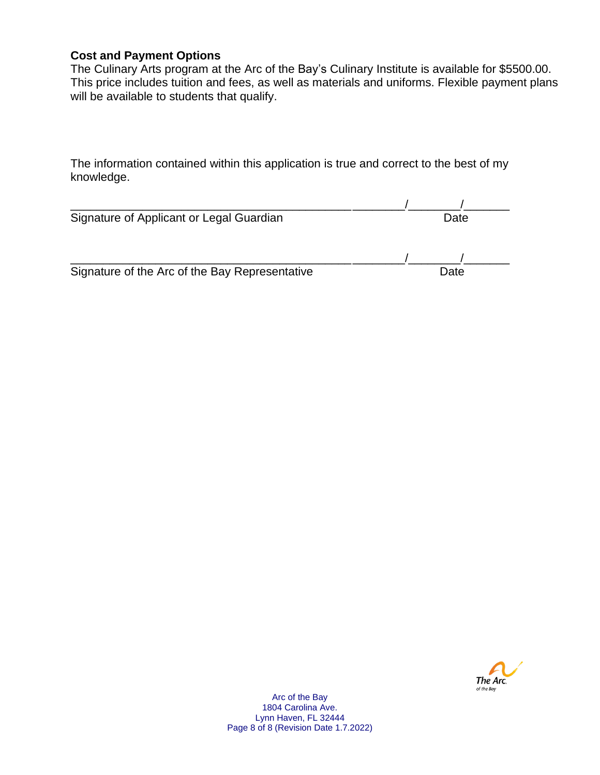## **Cost and Payment Options**

The Culinary Arts program at the Arc of the Bay's Culinary Institute is available for \$5500.00. This price includes tuition and fees, as well as materials and uniforms. Flexible payment plans will be available to students that qualify.

The information contained within this application is true and correct to the best of my knowledge.

| Signature of Applicant or Legal Guardian       | Date |  |
|------------------------------------------------|------|--|
|                                                |      |  |
| Signature of the Arc of the Bay Representative | Date |  |



Arc of the Bay 1804 Carolina Ave. Lynn Haven, FL 32444 Page 8 of 8 (Revision Date 1.7.2022)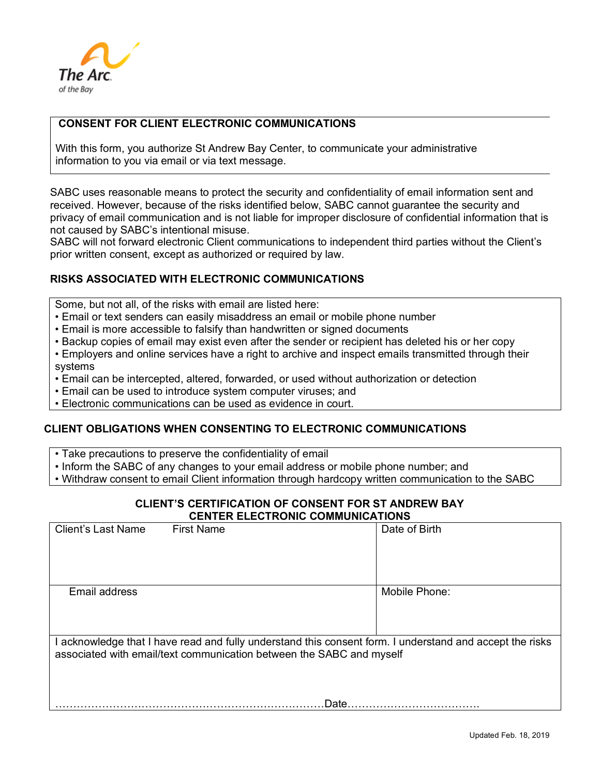

#### **CONSENT FOR CLIENT ELECTRONIC COMMUNICATIONS**

With this form, you authorize St Andrew Bay Center, to communicate your administrative information to you via email or via text message.

SABC uses reasonable means to protect the security and confidentiality of email information sent and received. However, because of the risks identified below, SABC cannot guarantee the security and privacy of email communication and is not liable for improper disclosure of confidential information that is not caused by SABC's intentional misuse.

SABC will not forward electronic Client communications to independent third parties without the Client's prior written consent, except as authorized or required by law.

#### **RISKS ASSOCIATED WITH ELECTRONIC COMMUNICATIONS**

Some, but not all, of the risks with email are listed here:

- Email or text senders can easily misaddress an email or mobile phone number
- Email is more accessible to falsify than handwritten or signed documents
- Backup copies of email may exist even after the sender or recipient has deleted his or her copy
- Employers and online services have a right to archive and inspect emails transmitted through their systems
- Email can be intercepted, altered, forwarded, or used without authorization or detection
- Email can be used to introduce system computer viruses; and

• Electronic communications can be used as evidence in court.

#### **CLIENT OBLIGATIONS WHEN CONSENTING TO ELECTRONIC COMMUNICATIONS**

- Take precautions to preserve the confidentiality of email
- Inform the SABC of any changes to your email address or mobile phone number; and

• Withdraw consent to email Client information through hardcopy written communication to the SABC

#### **CLIENT'S CERTIFICATION OF CONSENT FOR ST ANDREW BAY CENTER ELECTRONIC COMMUNICATIONS**

| <b>Client's Last Name</b>                                                                                                                                                        | <b>First Name</b> | Date of Birth |  |
|----------------------------------------------------------------------------------------------------------------------------------------------------------------------------------|-------------------|---------------|--|
| Email address                                                                                                                                                                    |                   | Mobile Phone: |  |
| I acknowledge that I have read and fully understand this consent form. I understand and accept the risks<br>associated with email/text communication between the SABC and myself |                   |               |  |
|                                                                                                                                                                                  | Date.             |               |  |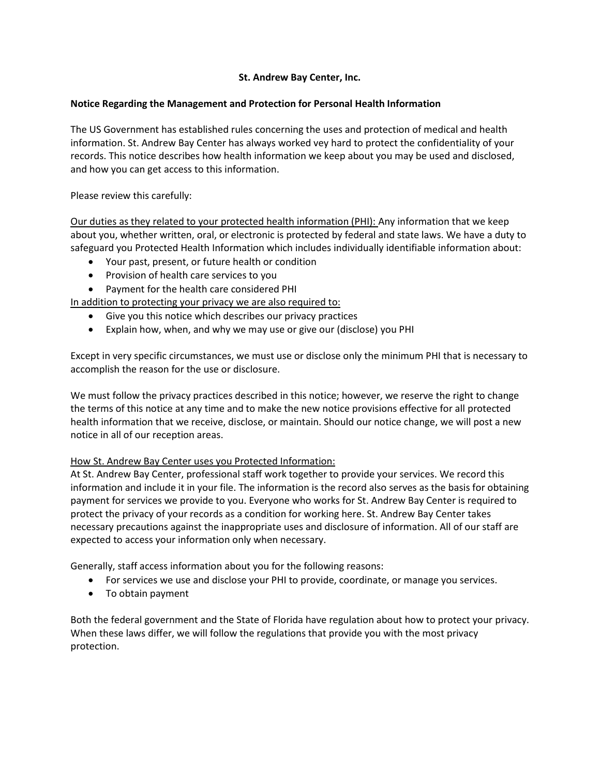#### **St. Andrew Bay Center, Inc.**

#### **Notice Regarding the Management and Protection for Personal Health Information**

The US Government has established rules concerning the uses and protection of medical and health information. St. Andrew Bay Center has always worked vey hard to protect the confidentiality of your records. This notice describes how health information we keep about you may be used and disclosed, and how you can get access to this information.

Please review this carefully:

Our duties as they related to your protected health information (PHI): Any information that we keep about you, whether written, oral, or electronic is protected by federal and state laws. We have a duty to safeguard you Protected Health Information which includes individually identifiable information about:

- Your past, present, or future health or condition
- Provision of health care services to you
- Payment for the health care considered PHI

In addition to protecting your privacy we are also required to:

- Give you this notice which describes our privacy practices
- Explain how, when, and why we may use or give our (disclose) you PHI

Except in very specific circumstances, we must use or disclose only the minimum PHI that is necessary to accomplish the reason for the use or disclosure.

We must follow the privacy practices described in this notice; however, we reserve the right to change the terms of this notice at any time and to make the new notice provisions effective for all protected health information that we receive, disclose, or maintain. Should our notice change, we will post a new notice in all of our reception areas.

## How St. Andrew Bay Center uses you Protected Information:

At St. Andrew Bay Center, professional staff work together to provide your services. We record this information and include it in your file. The information is the record also serves as the basis for obtaining payment for services we provide to you. Everyone who works for St. Andrew Bay Center is required to protect the privacy of your records as a condition for working here. St. Andrew Bay Center takes necessary precautions against the inappropriate uses and disclosure of information. All of our staff are expected to access your information only when necessary.

Generally, staff access information about you for the following reasons:

- For services we use and disclose your PHI to provide, coordinate, or manage you services.
- To obtain payment

Both the federal government and the State of Florida have regulation about how to protect your privacy. When these laws differ, we will follow the regulations that provide you with the most privacy protection.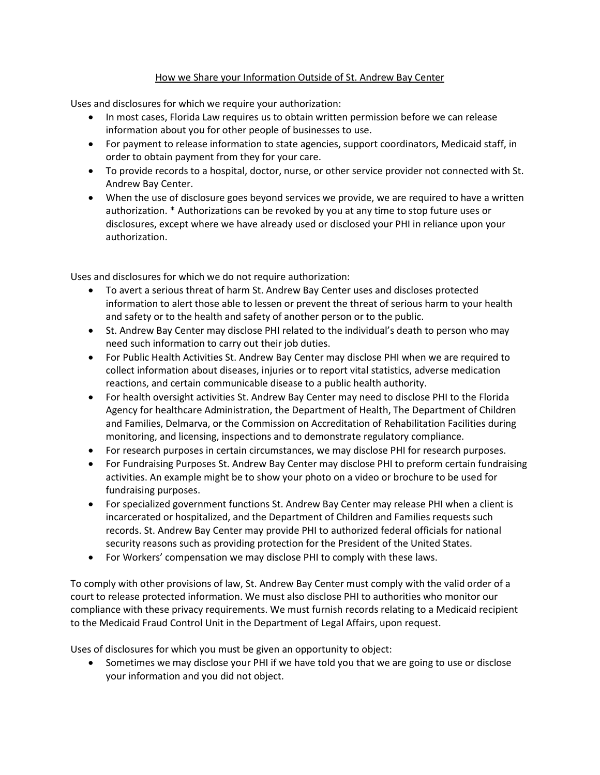#### How we Share your Information Outside of St. Andrew Bay Center

Uses and disclosures for which we require your authorization:

- In most cases, Florida Law requires us to obtain written permission before we can release information about you for other people of businesses to use.
- For payment to release information to state agencies, support coordinators, Medicaid staff, in order to obtain payment from they for your care.
- To provide records to a hospital, doctor, nurse, or other service provider not connected with St. Andrew Bay Center.
- When the use of disclosure goes beyond services we provide, we are required to have a written authorization. \* Authorizations can be revoked by you at any time to stop future uses or disclosures, except where we have already used or disclosed your PHI in reliance upon your authorization.

Uses and disclosures for which we do not require authorization:

- To avert a serious threat of harm St. Andrew Bay Center uses and discloses protected information to alert those able to lessen or prevent the threat of serious harm to your health and safety or to the health and safety of another person or to the public.
- St. Andrew Bay Center may disclose PHI related to the individual's death to person who may need such information to carry out their job duties.
- For Public Health Activities St. Andrew Bay Center may disclose PHI when we are required to collect information about diseases, injuries or to report vital statistics, adverse medication reactions, and certain communicable disease to a public health authority.
- For health oversight activities St. Andrew Bay Center may need to disclose PHI to the Florida Agency for healthcare Administration, the Department of Health, The Department of Children and Families, Delmarva, or the Commission on Accreditation of Rehabilitation Facilities during monitoring, and licensing, inspections and to demonstrate regulatory compliance.
- For research purposes in certain circumstances, we may disclose PHI for research purposes.
- For Fundraising Purposes St. Andrew Bay Center may disclose PHI to preform certain fundraising activities. An example might be to show your photo on a video or brochure to be used for fundraising purposes.
- For specialized government functions St. Andrew Bay Center may release PHI when a client is incarcerated or hospitalized, and the Department of Children and Families requests such records. St. Andrew Bay Center may provide PHI to authorized federal officials for national security reasons such as providing protection for the President of the United States.
- For Workers' compensation we may disclose PHI to comply with these laws.

To comply with other provisions of law, St. Andrew Bay Center must comply with the valid order of a court to release protected information. We must also disclose PHI to authorities who monitor our compliance with these privacy requirements. We must furnish records relating to a Medicaid recipient to the Medicaid Fraud Control Unit in the Department of Legal Affairs, upon request.

Uses of disclosures for which you must be given an opportunity to object:

• Sometimes we may disclose your PHI if we have told you that we are going to use or disclose your information and you did not object.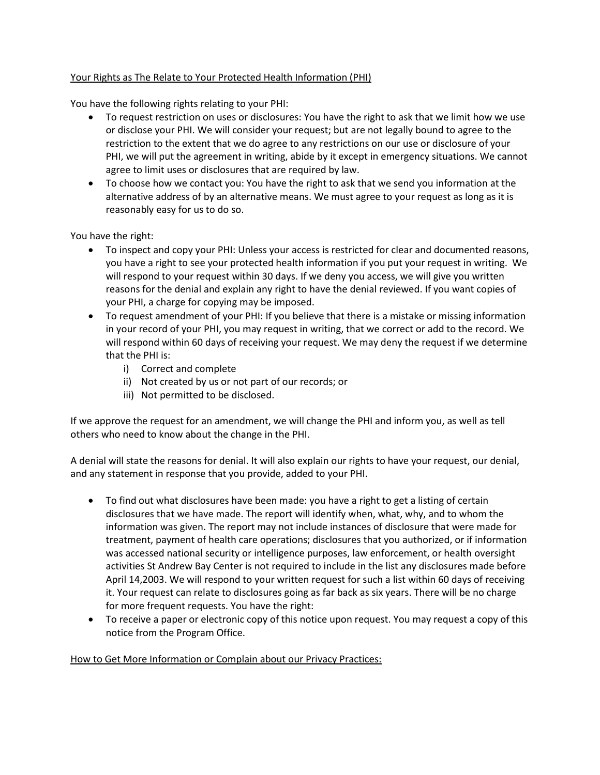#### Your Rights as The Relate to Your Protected Health Information (PHI)

You have the following rights relating to your PHI:

- To request restriction on uses or disclosures: You have the right to ask that we limit how we use or disclose your PHI. We will consider your request; but are not legally bound to agree to the restriction to the extent that we do agree to any restrictions on our use or disclosure of your PHI, we will put the agreement in writing, abide by it except in emergency situations. We cannot agree to limit uses or disclosures that are required by law.
- To choose how we contact you: You have the right to ask that we send you information at the alternative address of by an alternative means. We must agree to your request as long as it is reasonably easy for us to do so.

You have the right:

- To inspect and copy your PHI: Unless your access is restricted for clear and documented reasons, you have a right to see your protected health information if you put your request in writing. We will respond to your request within 30 days. If we deny you access, we will give you written reasons for the denial and explain any right to have the denial reviewed. If you want copies of your PHI, a charge for copying may be imposed.
- To request amendment of your PHI: If you believe that there is a mistake or missing information in your record of your PHI, you may request in writing, that we correct or add to the record. We will respond within 60 days of receiving your request. We may deny the request if we determine that the PHI is:
	- i) Correct and complete
	- ii) Not created by us or not part of our records; or
	- iii) Not permitted to be disclosed.

If we approve the request for an amendment, we will change the PHI and inform you, as well as tell others who need to know about the change in the PHI.

A denial will state the reasons for denial. It will also explain our rights to have your request, our denial, and any statement in response that you provide, added to your PHI.

- To find out what disclosures have been made: you have a right to get a listing of certain disclosures that we have made. The report will identify when, what, why, and to whom the information was given. The report may not include instances of disclosure that were made for treatment, payment of health care operations; disclosures that you authorized, or if information was accessed national security or intelligence purposes, law enforcement, or health oversight activities St Andrew Bay Center is not required to include in the list any disclosures made before April 14,2003. We will respond to your written request for such a list within 60 days of receiving it. Your request can relate to disclosures going as far back as six years. There will be no charge for more frequent requests. You have the right:
- To receive a paper or electronic copy of this notice upon request. You may request a copy of this notice from the Program Office.

How to Get More Information or Complain about our Privacy Practices: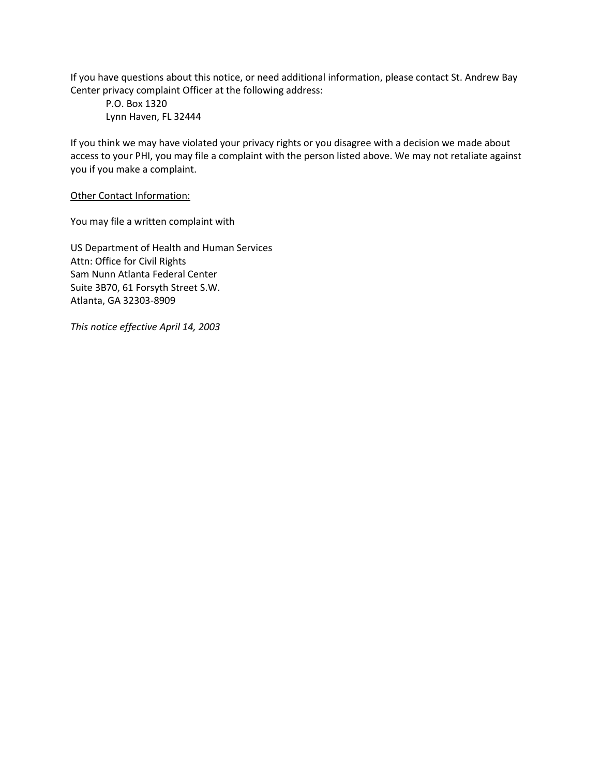If you have questions about this notice, or need additional information, please contact St. Andrew Bay Center privacy complaint Officer at the following address:

P.O. Box 1320 Lynn Haven, FL 32444

If you think we may have violated your privacy rights or you disagree with a decision we made about access to your PHI, you may file a complaint with the person listed above. We may not retaliate against you if you make a complaint.

Other Contact Information:

You may file a written complaint with

US Department of Health and Human Services Attn: Office for Civil Rights Sam Nunn Atlanta Federal Center Suite 3B70, 61 Forsyth Street S.W. Atlanta, GA 32303-8909

*This notice effective April 14, 2003*